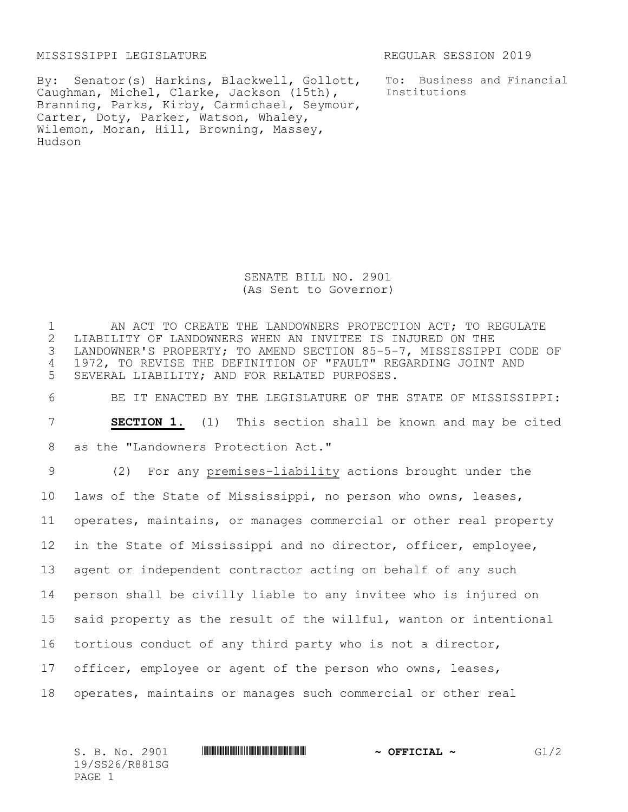MISSISSIPPI LEGISLATURE REGULAR SESSION 2019

By: Senator(s) Harkins, Blackwell, Gollott, Caughman, Michel, Clarke, Jackson (15th), Branning, Parks, Kirby, Carmichael, Seymour, Carter, Doty, Parker, Watson, Whaley, Wilemon, Moran, Hill, Browning, Massey, Hudson

To: Business and Financial Institutions

SENATE BILL NO. 2901 (As Sent to Governor)

1 AN ACT TO CREATE THE LANDOWNERS PROTECTION ACT; TO REGULATE 2 LIABILITY OF LANDOWNERS WHEN AN INVITEE IS INJURED ON THE<br>3 LANDOWNER'S PROPERTY; TO AMEND SECTION 85-5-7, MISSISSIPP LANDOWNER'S PROPERTY; TO AMEND SECTION 85-5-7, MISSISSIPPI CODE OF 4 1972, TO REVISE THE DEFINITION OF "FAULT" REGARDING JOINT AND 5 SEVERAL LIABILITY; AND FOR RELATED PURPOSES.

6 BE IT ENACTED BY THE LEGISLATURE OF THE STATE OF MISSISSIPPI:

7 **SECTION 1.** (1) This section shall be known and may be cited

8 as the "Landowners Protection Act."

 (2) For any premises-liability actions brought under the laws of the State of Mississippi, no person who owns, leases, operates, maintains, or manages commercial or other real property in the State of Mississippi and no director, officer, employee, agent or independent contractor acting on behalf of any such person shall be civilly liable to any invitee who is injured on said property as the result of the willful, wanton or intentional tortious conduct of any third party who is not a director, officer, employee or agent of the person who owns, leases, operates, maintains or manages such commercial or other real

S. B. No. 2901 **\*\*\* SEERVER ASSESSED \*\*\* OFFICIAL ~** G1/2 19/SS26/R881SG PAGE 1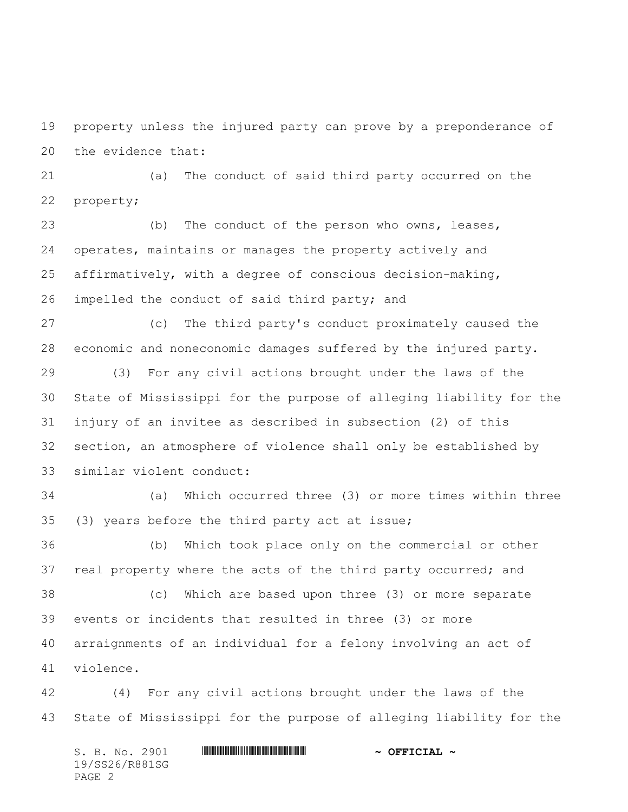property unless the injured party can prove by a preponderance of the evidence that:

 (a) The conduct of said third party occurred on the property;

 (b) The conduct of the person who owns, leases, operates, maintains or manages the property actively and affirmatively, with a degree of conscious decision-making, impelled the conduct of said third party; and

 (c) The third party's conduct proximately caused the economic and noneconomic damages suffered by the injured party.

 (3) For any civil actions brought under the laws of the State of Mississippi for the purpose of alleging liability for the injury of an invitee as described in subsection (2) of this section, an atmosphere of violence shall only be established by similar violent conduct:

 (a) Which occurred three (3) or more times within three (3) years before the third party act at issue;

 (b) Which took place only on the commercial or other real property where the acts of the third party occurred; and (c) Which are based upon three (3) or more separate events or incidents that resulted in three (3) or more arraignments of an individual for a felony involving an act of violence.

 (4) For any civil actions brought under the laws of the State of Mississippi for the purpose of alleging liability for the

S. B. No. 2901 \*SS26/R881SG\* **~ OFFICIAL ~** 19/SS26/R881SG PAGE 2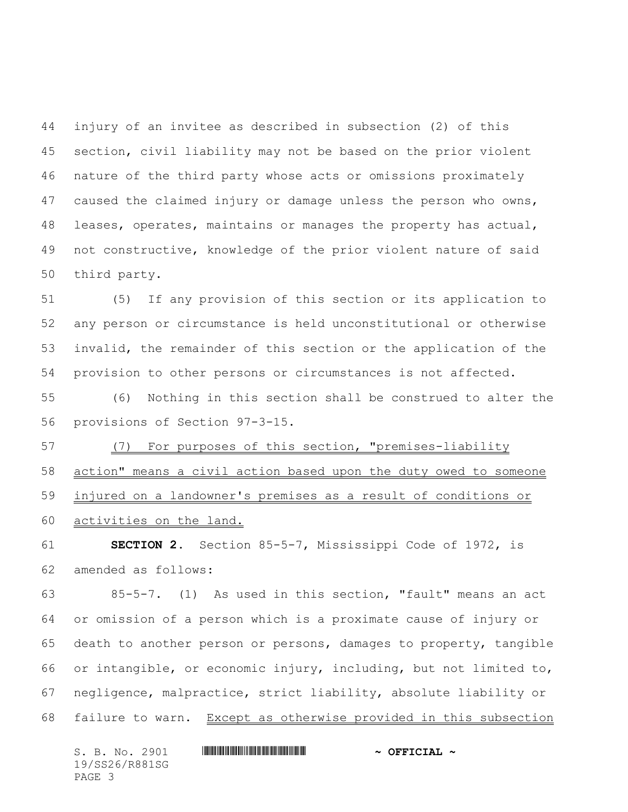injury of an invitee as described in subsection (2) of this section, civil liability may not be based on the prior violent nature of the third party whose acts or omissions proximately caused the claimed injury or damage unless the person who owns, leases, operates, maintains or manages the property has actual, not constructive, knowledge of the prior violent nature of said third party.

 (5) If any provision of this section or its application to any person or circumstance is held unconstitutional or otherwise invalid, the remainder of this section or the application of the provision to other persons or circumstances is not affected.

 (6) Nothing in this section shall be construed to alter the provisions of Section 97-3-15.

 (7) For purposes of this section, "premises-liability action" means a civil action based upon the duty owed to someone injured on a landowner's premises as a result of conditions or activities on the land.

 **SECTION 2.** Section 85-5-7, Mississippi Code of 1972, is amended as follows:

 85-5-7. (1) As used in this section, "fault" means an act or omission of a person which is a proximate cause of injury or death to another person or persons, damages to property, tangible or intangible, or economic injury, including, but not limited to, negligence, malpractice, strict liability, absolute liability or failure to warn. Except as otherwise provided in this subsection

S. B. No. 2901 \*SS26/R881SG\* **~ OFFICIAL ~** 19/SS26/R881SG PAGE 3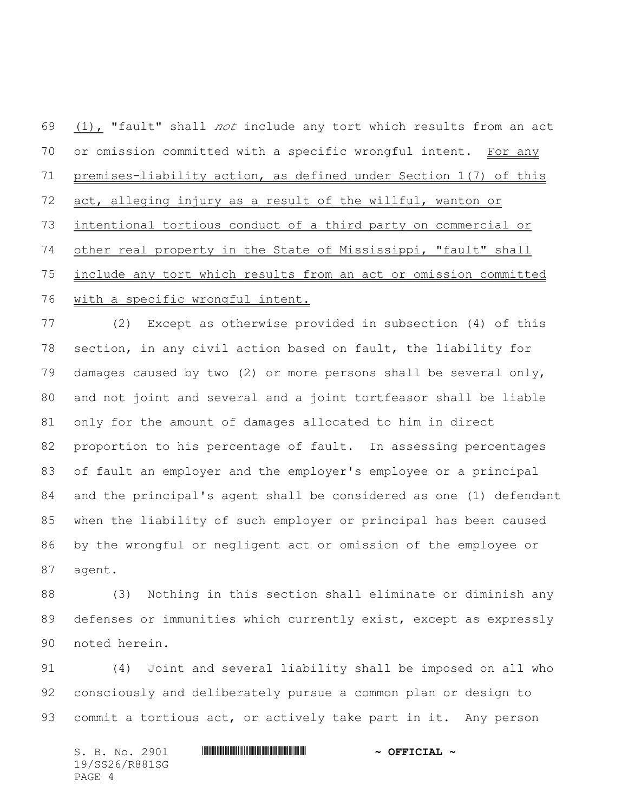$(1)$ , "fault" shall *not* include any tort which results from an act 70 or omission committed with a specific wrongful intent. For any premises-liability action, as defined under Section 1(7) of this act, alleging injury as a result of the willful, wanton or intentional tortious conduct of a third party on commercial or other real property in the State of Mississippi, "fault" shall include any tort which results from an act or omission committed with a specific wrongful intent.

 (2) Except as otherwise provided in subsection (4) of this section, in any civil action based on fault, the liability for damages caused by two (2) or more persons shall be several only, and not joint and several and a joint tortfeasor shall be liable only for the amount of damages allocated to him in direct proportion to his percentage of fault. In assessing percentages of fault an employer and the employer's employee or a principal and the principal's agent shall be considered as one (1) defendant when the liability of such employer or principal has been caused by the wrongful or negligent act or omission of the employee or agent.

 (3) Nothing in this section shall eliminate or diminish any defenses or immunities which currently exist, except as expressly noted herein.

 (4) Joint and several liability shall be imposed on all who consciously and deliberately pursue a common plan or design to commit a tortious act, or actively take part in it. Any person

S. B. No. 2901 \*SS26/R881SG\* **~ OFFICIAL ~** 19/SS26/R881SG PAGE 4